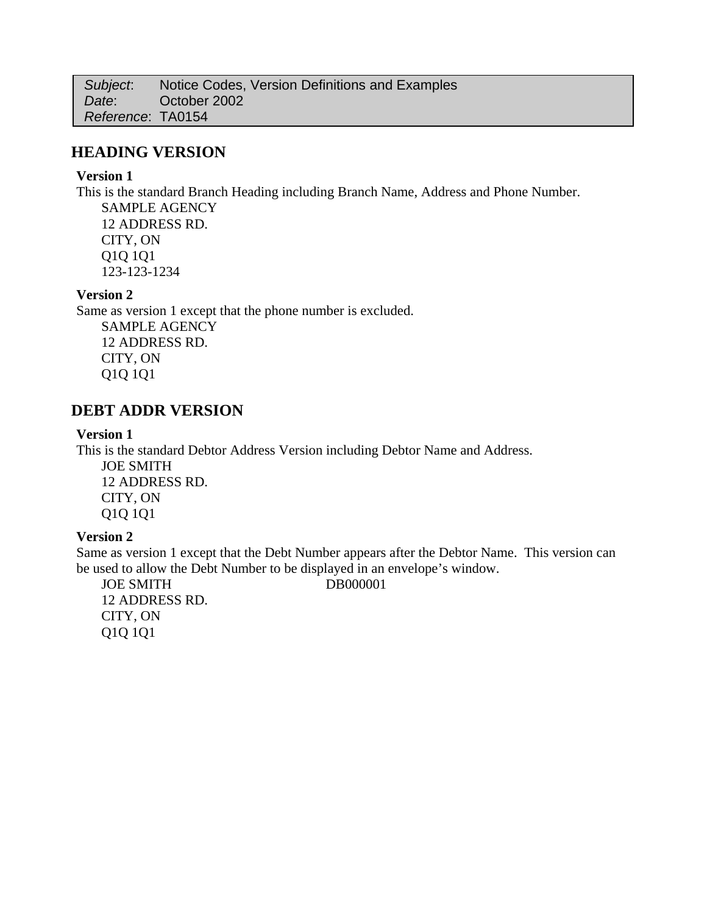*Subject*: Notice Codes, Version Definitions and Examples *Date*: October 2002 *Reference*: TA0154

## **HEADING VERSION**

#### **Version 1**

This is the standard Branch Heading including Branch Name, Address and Phone Number.

SAMPLE AGENCY 12 ADDRESS RD. CITY, ON Q1Q 1Q1 123-123-1234

### **Version 2**

Same as version 1 except that the phone number is excluded. SAMPLE AGENCY 12 ADDRESS RD. CITY, ON Q1Q 1Q1

# **DEBT ADDR VERSION**

#### **Version 1**

This is the standard Debtor Address Version including Debtor Name and Address.

JOE SMITH 12 ADDRESS RD. CITY, ON Q1Q 1Q1

## **Version 2**

Same as version 1 except that the Debt Number appears after the Debtor Name. This version can be used to allow the Debt Number to be displayed in an envelope's window.

JOE SMITH DB000001 12 ADDRESS RD. CITY, ON Q1Q 1Q1